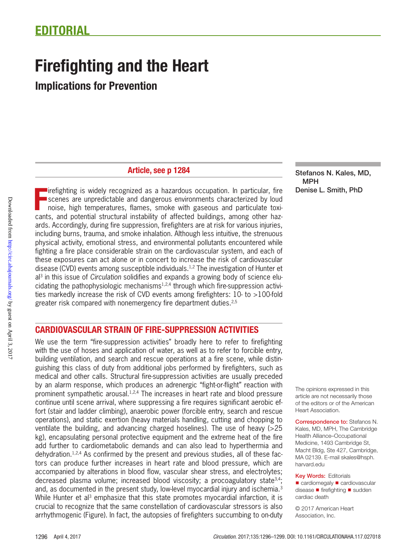# Firefighting and the Heart

Implications for Prevention

## Article, see p 1284

The internal structural structural as a hazardous occupation. In particular, fire scenes are unpredictable and dangerous environments characterized by loud noise, high temperatures, flames, smoke with gaseous and particula irefighting is widely recognized as a hazardous occupation. In particular, fire scenes are unpredictable and dangerous environments characterized by loud noise, high temperatures, flames, smoke with gaseous and particulate toxiards. Accordingly, during fire suppression, firefighters are at risk for various injuries, including burns, trauma, and smoke inhalation. Although less intuitive, the strenuous physical activity, emotional stress, and environmental pollutants encountered while fighting a fire place considerable strain on the cardiovascular system, and each of these exposures can act alone or in concert to increase the risk of cardiovascular disease (CVD) events among susceptible individuals.1,2 The investigation of Hunter et al3 in this issue of *Circulation* solidifies and expands a growing body of science elucidating the pathophysiologic mechanisms1,2,4 through which fire-suppression activities markedly increase the risk of CVD events among firefighters: 10- to >100-fold greater risk compared with nonemergency fire department duties.<sup>2,5</sup>

## CARDIOVASCULAR STRAIN OF FIRE-SUPPRESSION ACTIVITIES

We use the term "fire-suppression activities" broadly here to refer to firefighting with the use of hoses and application of water, as well as to refer to forcible entry, building ventilation, and search and rescue operations at a fire scene, while distinguishing this class of duty from additional jobs performed by firefighters, such as medical and other calls. Structural fire-suppression activities are usually preceded by an alarm response, which produces an adrenergic "fight-or-flight" reaction with prominent sympathetic arousal.1,2,4 The increases in heart rate and blood pressure continue until scene arrival, where suppressing a fire requires significant aerobic effort (stair and ladder climbing), anaerobic power (forcible entry, search and rescue operations), and static exertion (heavy materials handling, cutting and chopping to ventilate the building, and advancing charged hoselines). The use of heavy (>25 kg), encapsulating personal protective equipment and the extreme heat of the fire add further to cardiometabolic demands and can also lead to hyperthermia and dehydration.1,2,4 As confirmed by the present and previous studies, all of these factors can produce further increases in heart rate and blood pressure, which are accompanied by alterations in blood flow, vascular shear stress, and electrolytes; decreased plasma volume; increased blood viscosity; a procoagulatory state<sup>3,4</sup>; and, as documented in the present study, low-level myocardial injury and ischemia.<sup>3</sup> While Hunter et al<sup>3</sup> emphasize that this state promotes myocardial infarction, it is crucial to recognize that the same constellation of cardiovascular stressors is also arrhythmogenic (Figure). In fact, the autopsies of firefighters succumbing to on-duty Stefanos N. Kales, MD, MPH Denise L. Smith, PhD

The opinions expressed in this article are not necessarily those of the editors or of the American Heart Association.

Correspondence to: Stefanos N. Kales, MD, MPH, The Cambridge Health Alliance–Occupational Medicine, 1493 Cambridge St, Macht Bldg, Ste 427, Cambridge, MA 02139. E-mail [skales@hsph.](mailto:skales@hsph.harvard.edu) [harvard.edu](mailto:skales@hsph.harvard.edu)

**Key Words: Editorials** 

■ cardiomegaly ■ cardiovascular disease ◼ firefighting ◼ sudden cardiac death

© 2017 American Heart Association, Inc.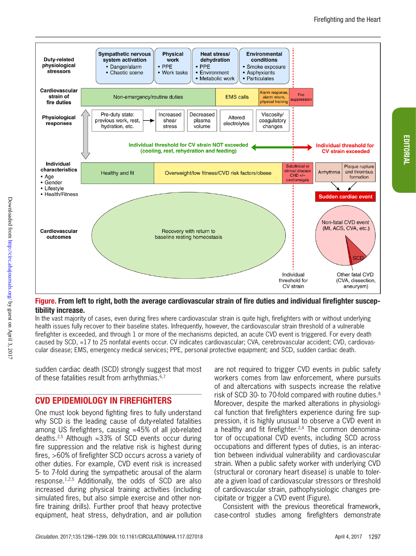EDITORIAL

EDITORIAL



#### Figure. From left to right, both the average cardiovascular strain of fire duties and individual firefighter susceptibility increase.

In the vast majority of cases, even during fires where cardiovascular strain is quite high, firefighters with or without underlying health issues fully recover to their baseline states. Infrequently, however, the cardiovascular strain threshold of a vulnerable firefighter is exceeded, and through 1 or more of the mechanisms depicted, an acute CVD event is triggered. For every death caused by SCD, ≈17 to 25 nonfatal events occur. CV indicates cardiovascular; CVA, cerebrovascular accident; CVD, cardiovascular disease; EMS, emergency medical services; PPE, personal protective equipment; and SCD, sudden cardiac death.

sudden cardiac death (SCD) strongly suggest that most of these fatalities result from arrhythmias.<sup>6,7</sup>

## CVD EPIDEMIOLOGY IN FIREFIGHTERS

One must look beyond fighting fires to fully understand why SCD is the leading cause of duty-related fatalities among US firefighters, causing ≈45% of all job-related deaths.2,5 Although ≈33% of SCD events occur during fire suppression and the relative risk is highest during fires, >60% of firefighter SCD occurs across a variety of other duties. For example, CVD event risk is increased 5- to 7-fold during the sympathetic arousal of the alarm response.1,2,5 Additionally, the odds of SCD are also increased during physical training activities (including simulated fires, but also simple exercise and other nonfire training drills). Further proof that heavy protective equipment, heat stress, dehydration, and air pollution

are not required to trigger CVD events in public safety workers comes from law enforcement, where pursuits of and altercations with suspects increase the relative risk of SCD 30- to 70-fold compared with routine duties.<sup>8</sup> Moreover, despite the marked alterations in physiological function that firefighters experience during fire suppression, it is highly unusual to observe a CVD event in a healthy and fit firefighter.<sup>2,4</sup> The common denominator of occupational CVD events, including SCD across occupations and different types of duties, is an interaction between individual vulnerability and cardiovascular strain. When a public safety worker with underlying CVD (structural or coronary heart disease) is unable to tolerate a given load of cardiovascular stressors or threshold of cardiovascular strain, pathophysiologic changes precipitate or trigger a CVD event (Figure).

Consistent with the previous theoretical framework, case-control studies among firefighters demonstrate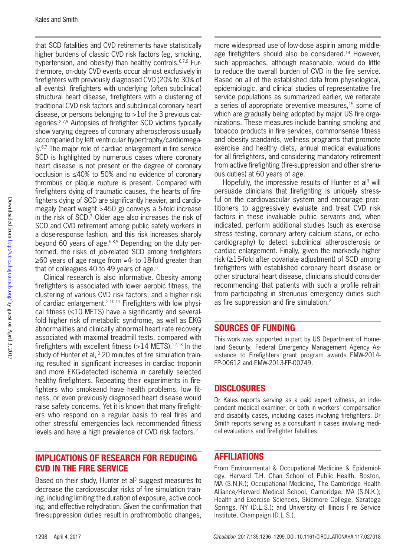that SCD fatalities and CVD retirements have statistically higher burdens of classic CVD risk factors (eg, smoking, hypertension, and obesity) than healthy controls.<sup>6,7,9</sup> Furthermore, on-duty CVD events occur almost exclusively in firefighters with previously diagnosed CVD (20% to 30% of all events), firefighters with underlying (often subclinical) structural heart disease, firefighters with a clustering of traditional CVD risk factors and subclinical coronary heart disease, or persons belonging to >1of the 3 previous categories.2,7,9 Autopsies of firefighter SCD victims typically show varying degrees of coronary atherosclerosis usually accompanied by left ventricular hypertrophy/cardiomegaly.<sup>6,7</sup> The major role of cardiac enlargement in fire service SCD is highlighted by numerous cases where coronary heart disease is not present or the degree of coronary occlusion is ≤40% to 50% and no evidence of coronary thrombus or plaque rupture is present. Compared with firefighters dying of traumatic causes, the hearts of firefighters dying of SCD are significantly heavier, and cardiomegaly (heart weight >450 g) conveys a 5-fold increase in the risk of SCD.7 Older age also increases the risk of SCD and CVD retirement among public safety workers in a dose-response fashion, and this risk increases sharply beyond 60 years of age.5,8,9 Depending on the duty performed, the risks of job-related SCD among firefighters ≥60 years of age range from ≈4- to 18-fold greater than that of colleagues 40 to 49 years of age.<sup>5</sup>

Clinical research is also informative. Obesity among firefighters is associated with lower aerobic fitness, the clustering of various CVD risk factors, and a higher risk of cardiac enlargement.2,10,11 Firefighters with low physical fitness  $(\leq 10$  METS) have a significantly and severalfold higher risk of metabolic syndrome, as well as EKG abnormalities and clinically abnormal heart rate recovery associated with maximal treadmill tests, compared with firefighters with excellent fitness  $(>14$  METS).<sup>12,13</sup> In the study of Hunter et al, <sup>3</sup> 20 minutes of fire simulation training resulted in significant increases in cardiac troponin and more EKG-detected ischemia in carefully selected healthy firefighters. Repeating their experiments in firefighters who smokeand have health problems, low fitness, or even previously diagnosed heart disease would raise safety concerns. Yet it is known that many firefighters who respond on a regular basis to real fires and other stressful emergencies lack recommended fitness levels and have a high prevalence of CVD risk factors.<sup>2</sup>

## IMPLICATIONS OF RESEARCH FOR REDUCING CVD IN THE FIRE SERVICE

Based on their study, Hunter et al<sup>3</sup> suggest measures to decrease the cardiovascular risks of fire simulation training, including limiting the duration of exposure, active cooling, and effective rehydration. Given the confirmation that fire-suppression duties result in prothrombotic changes,

more widespread use of low-dose aspirin among middleage firefighters should also be considered.<sup>14</sup> However, such approaches, although reasonable, would do little to reduce the overall burden of CVD in the fire service. Based on all of the established data from physiological, epidemiologic, and clinical studies of representative fire service populations as summarized earlier, we reiterate a series of appropriate preventive measures,<sup>15</sup> some of which are gradually being adopted by major US fire organizations. These measures include banning smoking and tobacco products in fire services, commonsense fitness and obesity standards, wellness programs that promote exercise and healthy diets, annual medical evaluations for all firefighters, and considering mandatory retirement from active firefighting (fire-suppression and other strenuous duties) at 60 years of age.

Hopefully, the impressive results of Hunter et al<sup>3</sup> will persuade clinicians that firefighting is uniquely stressful on the cardiovascular system and encourage practitioners to aggressively evaluate and treat CVD risk factors in these invaluable public servants and, when indicated, perform additional studies (such as exercise stress testing, coronary artery calcium scans, or echocardiography) to detect subclinical atherosclerosis or cardiac enlargement. Finally, given the markedly higher risk (≥15-fold after covariate adjustment) of SCD among firefighters with established coronary heart disease or other structural heart disease, clinicians should consider recommending that patients with such a profile refrain from participating in strenuous emergency duties such as fire suppression and fire simulation.<sup>2</sup>

#### SOURCES OF FUNDING

This work was supported in part by US Department of Homeland Security, Federal Emergency Management Agency Assistance to Firefighters grant program awards EMW-2014- FP-00612 and EMW-2013-FP-00749.

## **DISCLOSURES**

Dr Kales reports serving as a paid expert witness, an independent medical examiner, or both in workers' compensation and disability cases, including cases involving firefighters. Dr Smith reports serving as a consultant in cases involving medical evaluations and firefighter fatalities.

## AFFILIATIONS

From Environmental & Occupational Medicine & Epidemiology, Harvard T.H. Chan School of Public Health, Boston, MA (S.N.K.); Occupational Medicine, The Cambridge Health Alliance/Harvard Medical School, Cambridge, MA (S.N.K.); Health and Exercise Sciences, Skidmore College, Saratoga Springs, NY (D.L.S.); and University of Illinois Fire Service Institute, Champaign (D.L.S.).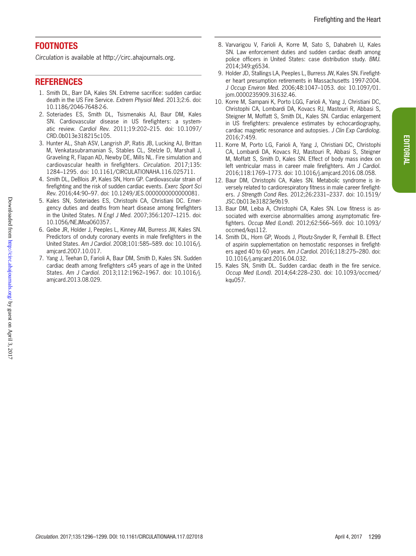## **FOOTNOTES**

*Circulation* is available at http://circ.ahajournals.org.

### REFERENCES

- 1. Smith DL, Barr DA, Kales SN. Extreme sacrifice: sudden cardiac death in the US Fire Service. *Extrem Physiol Med*. 2013;2:6. doi: 10.1186/2046-7648-2-6.
- 2. Soteriades ES, Smith DL, Tsismenakis AJ, Baur DM, Kales SN. Cardiovascular disease in US firefighters: a systematic review. *Cardiol Rev*. 2011;19:202–215. doi: 10.1097/ CRD.0b013e318215c105.
- 3. Hunter AL, Shah ASV, Langrish JP, Ratis JB, Lucking AJ, Brittan M, Venkatasubramanian S, Stables CL, Stelzle D, Marshall J, Graveling R, Flapan AD, Newby DE, Mills NL. Fire simulation and cardiovascular health in firefighters. *Circulation*. 2017;135: 1284–1295. doi: 10.1161/CIRCULATIONAHA.116.025711.
- 4. Smith DL, DeBlois JP, Kales SN, Horn GP. Cardiovascular strain of firefighting and the risk of sudden cardiac events. *Exerc Sport Sci Rev*. 2016;44:90–97. doi: 10.1249/JES.0000000000000081.
- 5. Kales SN, Soteriades ES, Christophi CA, Christiani DC. Emergency duties and deaths from heart disease among firefighters in the United States. *N Engl J Med*. 2007;356:1207–1215. doi: 10.1056/NEJMoa060357.
- 6. Geibe JR, Holder J, Peeples L, Kinney AM, Burress JW, Kales SN. Predictors of on-duty coronary events in male firefighters in the United States. *Am J Cardiol*. 2008;101:585–589. doi: 10.1016/j. amjcard.2007.10.017.
- 7. Yang J, Teehan D, Farioli A, Baur DM, Smith D, Kales SN. Sudden cardiac death among firefighters ≤45 years of age in the United States. *Am J Cardiol*. 2013;112:1962–1967. doi: 10.1016/j. amjcard.2013.08.029.
- 8. Varvarigou V, Farioli A, Korre M, Sato S, Dahabreh IJ, Kales SN. Law enforcement duties and sudden cardiac death among police officers in United States: case distribution study. *BMJ*. 2014;349:g6534.
- 9. Holder JD, Stallings LA, Peeples L, Burress JW, Kales SN. Firefighter heart presumption retirements in Massachusetts 1997-2004. *J Occup Environ Med*. 2006;48:1047–1053. doi: 10.1097/01. jom.0000235909.31632.46.
- 10. Korre M, Sampani K, Porto LGG, Farioli A, Yang J, Christiani DC, Christophi CA, Lombardi DA, Kovacs RJ, Mastouri R, Abbasi S, Steigner M, Moffatt S, Smith DL, Kales SN. Cardiac enlargement in US firefighters: prevalence estimates by echocardiography, cardiac magnetic resonance and autopsies. *J Clin Exp Cardiolog*. 2016;7:459.
- 11. Korre M, Porto LG, Farioli A, Yang J, Christiani DC, Christophi CA, Lombardi DA, Kovacs RJ, Mastouri R, Abbasi S, Steigner M, Moffatt S, Smith D, Kales SN. Effect of body mass index on left ventricular mass in career male firefighters. *Am J Cardiol*. 2016;118:1769–1773. doi: 10.1016/j.amjcard.2016.08.058.
- 12. Baur DM, Christophi CA, Kales SN. Metabolic syndrome is inversely related to cardiorespiratory fitness in male career firefighters. *J Strength Cond Res*. 2012;26:2331–2337. doi: 10.1519/ JSC.0b013e31823e9b19.
- 13. Baur DM, Leiba A, Christophi CA, Kales SN. Low fitness is associated with exercise abnormalities among asymptomatic firefighters. *Occup Med (Lond)*. 2012;62:566–569. doi: 10.1093/ occmed/kqs112.
- 14. Smith DL, Horn GP, Woods J, Ploutz-Snyder R, Fernhall B. Effect of aspirin supplementation on hemostatic responses in firefighters aged 40 to 60 years. *Am J Cardiol*. 2016;118:275–280. doi: 10.1016/j.amjcard.2016.04.032.
- 15. Kales SN, Smith DL. Sudden cardiac death in the fire service. *Occup Med (Lond)*. 2014;64:228–230. doi: 10.1093/occmed/ kqu057.